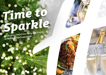# *Time to [Sparkle](https://lancaster.hichristmas.co.uk) Book your Christmas Party and Events*

*at Holiday Inn®Lancaster*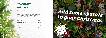Why not join us at the **Holiday Inn Lancaster** to celebrate Christmas 2022 in style?

Whether you're looking to organise a spectacular Christmas party for colleagues, a festive night out for friends or a celebratory feast with loved ones, we've got the perfect package for you.

## *Celebrate with us*



2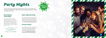## *All-Inclusive Party Night*

Our all-inclusive party nights include everything you need for the perfect festive night out! Enjoy a three-course meal, disco and drinks throughout the evening. The bar will offer you plenty of choice from house wine, house spirits & mixers, draught lager/beer, selected alcopops and soft drinks all included in the price. The all-inclusive bar is available from 8pm - 12am

### **£54.95 per adult**

**Fridays: 2nd, 9th & 16th December and 20th January**

Saturdays: 3<sup>rd</sup>, 10<sup>th</sup> & 17<sup>th</sup> December

## *[Party Nights](https://lancaster.hichristmas.co.uk)*

Our festive party nights will be held in the Halton Suite which can accommodate up to 100 people. The party starts at 7.30pm, dinner served at 8.00pm, last orders at mid-night and carriages at 12.30 am.

*Click to book*

## *Meet, Stay and Party*

Work, rest and play! Join us throughout November, December or January with your colleagues for a full-day meeting, your choice of celebration in the evening, overnight accommodation and breakfast the following day. Plan your end-of-year meeting today! Please enquire for availability and pricing.

## *Private Parties*

From intimate family gatherings to large corporate parties, we have functions rooms available to hire based on your requirements. Please contact us so we can help you plan your perfect celebration. Minimum numbers apply. Prices available upon request. Pre-booking only and subject to availability. Dates sell fast so enquire today!

4

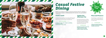## *[Casual Festive](https://lancaster.hichristmas.co.uk) Dining*

Whether you're looking to organise a spectacular Christmas dinner for colleagues, a festive lunch for friends or a celebratory feast with loved ones, we've got the perfect event for you.

## *Festive Lunch*

Our festive lunches are perfect for any occasion, whether you want to spend time with family, friends or work colleagues. Includes a glass of fizz upon arrival and a three-course festive meal.

**Available seven days a week. (subject to availability). Pre-booking essential. Call 03333 209 332 opt 4 to book.**

## *Pizza and Prosecco*

Pizza and Prosecco = Perfect! Book today so you can enjoy a pizza and a glass of Prosecco each in the relaxed atmosphere of our Open Lobby.

### **£14.95 per person**

## *Festive Fizz Afternoon Tea*

Enjoy a festive afternoon tea, including tea & coffee and a refreshing glass of fizz! The perfect treat for anyone to enjoy. It also includes a selection of sandwiches, scones with cream & jam and a mouthwatering slice of seasonal cake.



### **£18.00 per person**



**From £17.95 per person**

**Available every Tuesday and Thursday throughout December at 12pm, 12:30pm and 1pm. Pre-booking essential, available to book online.** 

**Fridays and Sundays throughout December at 5pm, 6pm and 6:30pm. Available to book online.**

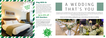## *Stay With Us*

We are excited to share with you the amazing gift vouchers we now have available at Holiday Inn Lancaster. From delightful afternoon teas to overnight break packages, there's a gift for everyone. Give the gift of travel this uear!

Why not make a night of it and enjoy our special Christmas rates? Room types include standard double, family and twin. Take advantage of up to 20% off our best flexible, bed and breakfast rate. No deposit required and can be cancelled free of charge up to 48 hours prior to arrival.

## *Gift Vouchers* $-$  Up to 20% off  $-$



Christmas is such a wonderful time of year, why not consider having a festive wedding celebration? Our weddings are [available all year round and our fantastic wedding team will work with you to ensure you get everything you desire to](http://www.hilancasterhotel.co.uk/weddings)  make your special day a dream come true.



### Contact us to start creating a wedding that's you, or click to find out more about our weddings



## A WEDDING THAT'S YOU